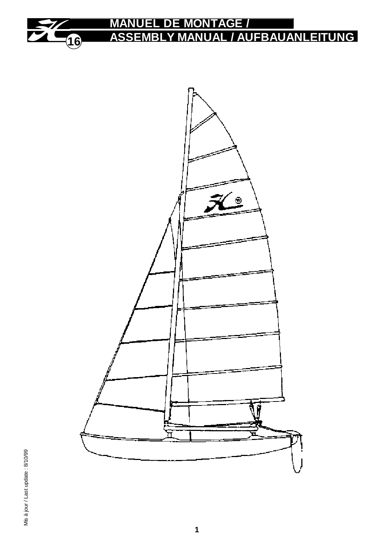

## **MANUEL DE MONTAGE / ASSEMBLY MANUAL / AUFBAUANLEITUNG**



Mis à jour / Last update : 8/10/99 Mis à jour / Last update : 8/10/99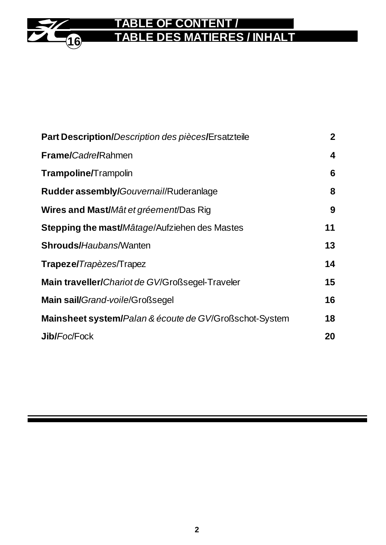## **16 TABLE OF CONTENT / TABLE DES MATIERES / INHALT**

| Part Description/Description des pièces/Ersatzteile    | $\mathbf{2}$ |
|--------------------------------------------------------|--------------|
| <b>Frame/Cadre/Rahmen</b>                              | 4            |
| Trampoline/Trampolin                                   | 6            |
| Rudder assembly/Gouvernail/Ruderanlage                 | 8            |
| <b>Wires and Mast/M</b> ât et gréement/Das Rig         | 9            |
| Stepping the mast/Mâtage/Aufziehen des Mastes          | 11           |
| <b>Shrouds/Haubans/Wanten</b>                          | 13           |
| Trapeze/Trapèzes/Trapez                                | 14           |
| Main traveller/Chariot de GV/Großsegel-Traveler        | 15           |
| Main sail/Grand-voile/Großsegel                        | 16           |
| Mainsheet system/Palan & écoute de GV/Großschot-System | 18           |
| <b>Jib/Foc/Fock</b>                                    | 20           |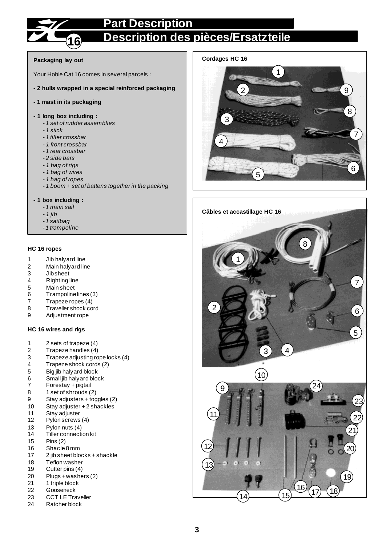### **Part Description**



## **Description des pièces/Ersatzteile**

#### **Packaging lay out**

Your Hobie Cat 16 comes in several parcels :

- **2 hulls wrapped in a special reinforced packaging**
- **1 mast in its packaging**

#### **- 1 long box including :**

- *1 set of rudder assemblies*
- *1 stick*
- *1 tiller crossbar*
- *1 front crossbar*
- *1 rear crossbar*
- *2 side bars*
- *1 bag of rigs*
- *1 bag of wires*
- *1 bag of ropes*
- *1 boom + set of battens together in the packing*

#### **- 1 box including :**

- *1 main sail*
- *1 jib*
- *1 sailbag*
- *1 trampoline*

#### **HC 16 ropes**

- 1 Jib halyard line
- 2 Main halyard line<br>3 Jibsheet
- 3 Jibsheet<br>4 Righting
- 4 Righting line<br>5 Main sheet
- 5 Main sheet<br>6 Trampoline
- Trampoline lines (3)
- 7 Trapeze ropes (4)<br>8 Traveller shock co
- 8 Traveller shock cord<br>9 Adjustment rope
- Adjustment rope

#### **HC 16 wires and rigs**

- 1 2 sets of trapeze (4)
- 2 Trapeze handles (4)
- 3 Trapeze adjusting rope locks (4)<br>4 Trapeze shock cords (2)
- 4 Trapeze shock cords (2)
- 
- 5 Big jib halyard block 6 Small jib halyard block<br>7 Forestay + piqtail
- Forestay + pigtail
- 8 1 set of shrouds (2)
- 9 Stay adjusters + toggles (2)
- 10 Stay adjuster + 2 shackles
- 11 Stay adjuster
- 12 Pylon screws (4)
- 13 Pylon nuts (4)
- 14 Tiller connection kit
- 15 Pins (2)
- 16 Shacle 8 mm
- 17 2 jib sheet blocks + shackle
- 18 Teflon washer
- 19 Cutter pins (4)
- 20 Plugs + washers (2)
- 
- 21 1 triple block<br>22 Gooseneck **Gooseneck**
- 23 CCT LE Traveller<br>24 Ratcher block
- Ratcher block

#### **Cordages HC 16**



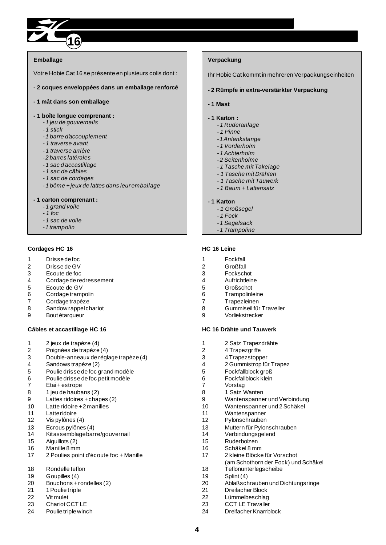

#### **Emballage**

Votre Hobie Cat 16 se présente en plusieurs colis dont :

**- 2 coques enveloppées dans un emballage renforcé**

#### **- 1 mât dans son emballage**

#### **- 1 boîte longue comprenant :**

- *1 jeu de gouvernails*
- *1 stick*
- *1 barre d'accouplement*
- *1 traverse avant*
- *1 traverse arrière*
- *2 barres latérales*
- *1 sac d'accastillage*
- *1 sac de câbles*
- *1 sac de cordages*
- *1 bôme + jeux de lattes dans leur emballage*

#### **- 1 carton comprenant :**

- *1 grand voile*
- *1 foc*
- *1 sac de voile*
- *1 trampolin*

#### **Cordages HC 16**

- 1 Drisse de foc
- 2 Drisse de GV<br>3 Ecoute de foc
- 3 Ecoute de foc
- Cordage de redressement
- 5 Ecoute de GV<br>6 Cordage tramp
- Cordage trampolin
- 7 Cordage trapèze
- 8 Sandow rappel chariot
- 9 Bout étarqueur

#### **Câbles et accastillage HC 16**

- 1 2 jeux de trapèze (4)
- 2 Poignées de trapèze (4)
- 3 Double-anneaux de réglage trapèze (4)
- 4 Sandows trapèze (2)
- 5 Poulie drisse de foc grand modèle
- 6 Poulie drisse de foc petit modèle
- Etai + estrope
- 8 1 jeu de haubans (2)
- 9 Lattes ridoires + chapes (2)
- 10 Latte ridoire + 2 manilles
- 11 Latte ridoire
- 12 Vis pylônes (4)
- 13 Ecrous pylônes (4)
- 14 Kit assemblage barre/gouvernail
- 15 Aiguillots (2)
- 16 Manille 8 mm
- 17 2 Poulies point d'écoute foc + Manille
- 18 Rondelle teflon
- 19 Goupilles (4)
- 20 Bouchons + rondelles (2)
- 21 1 Poulie triple
- 22 Vit mulet<br>23 Chariot C
- Chariot CCT LE
- 24 Poulie triple winch

#### **Verpackung**

Ihr Hobie Cat kommt in mehreren Verpackungseinheiten

#### **- 2 Rümpfe in extra-verstärkter Verpackung**

**- 1 Mast**

#### **- 1 Karton :**

- *1 Ruderanlage*
- *1 Pinne*
- *1 Anlenkstange*
- *1 Vorderholm*
- *1 Achterholm*
- *2 Seitenholme*
- *1 Tasche mit Takelage*
- *1 Tasche mit Drähten*
- *1 Tasche mit Tauwerk*
- *1 Baum + Lattensatz*

#### **- 1 Karton**

- *1 Großsegel*
- *1 Fock*
- *1 Segelsack*
- *1 Trampoline*

#### **HC 16 Leine**

- 1 Fockfall
- 2 Großfall
- 3 Fockschot<br>4 Aufrichtleir
- **Aufrichtleine**
- 5 Großschot
- 6 Trampolinleine
- 7 Trapezleinen
- 8 Gummiseil für Traveller
- 9 Vorliekstrecker

#### **HC 16 Drähte und Tauwerk**

 2 Satz Trapezdrähte 4 Trapezgriffe 3 4 Trapezstopper<br>4 2 Gummistrop fü 2 Gummistrop für Trapez 5 Fockfallblock groß<br>6 Fockfallblock klein 6 Fockfallblock klein<br>7 Vorstag Vorstag 1 Satz Wanten Wantenspanner und Verbindung Wantenspanner und 2 Schäkel Wantenspanner Pylonschrauben Muttern für Pylonschrauben Verbindungsgelend Ruderbolzen Schäkel 8 mm 2 kleine Blöcke für Vorschot (am Schothorn der Fock) und Schäkel Teflonunterlegscheibe Splint (4) Ablaßschrauben und Dichtungsringe Dreifacher Block 22 Lümmelbeschlag<br>23 CCT I F Travaller CCT LE Travaller Dreifacher Knarrblock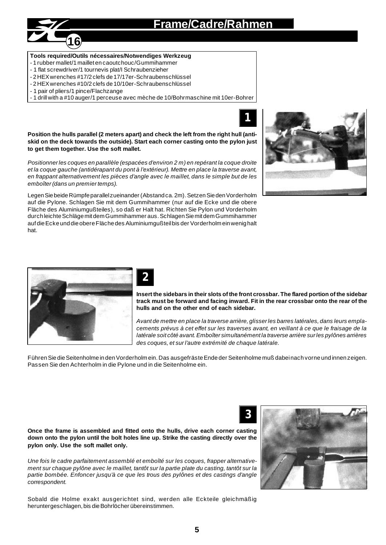## **Frame/Cadre/Rahmen**



#### **Tools required/Outils nécessaires/Notwendiges Werkzeug**

- 1 rubber mallet/1 maillet en caoutchouc/Gummihammer
- 1 flat screwdriver/1 tournevis plat/I Schraubenzieher
- 2 HEX wrenches #17/2 clefs de 17/17er-Schraubenschlüssel
- 2 HEX wrenches #10/2 clefs de 10/10er-Schraubenschlüssel
- 1 pair of pliers/1 pince/Flachzange
- 1 drill with a #10 auger/1 perceuse avec mèche de 10/Bohrmaschine mit 10er-Bohrer

**Position the hulls parallel (2 meters apart) and check the left from the right hull (antiskid on the deck towards the outside). Start each corner casting onto the pylon just to get them together. Use the soft mallet.**

*Positionner les coques en parallèle (espacées d'environ 2 m) en repérant la coque droite et la coque gauche (antidérapant du pont à l'extérieur). Mettre en place la traverse avant, en frappant alternativement les pièces d'angle avec le maillet, dans le simple but de les emboîter (dans un premier temps).*

Legen Sie beide Rümpfe parallel zueinander (Abstand ca. 2m). Setzen Sie den Vorderholm auf die Pylone. Schlagen Sie mit dem Gummihammer (nur auf die Ecke und die obere Fläche des Aluminiumgußteiles), so daß er Halt hat. Richten Sie Pylon und Vorderholm durch leichte Schläge mit dem Gummihammer aus. Schlagen Sie mit dem Gummihammer auf die Ecke und die obere Fläche des Aluminiumgußteil bis der Vorderholm ein wenig halt hat.





## **2**

**Insert the sidebars in their slots of the front crossbar. The flared portion of the sidebar track must be forward and facing inward. Fit in the rear crossbar onto the rear of the hulls and on the other end of each sidebar.**

**1**

*Avant de mettre en place la traverse arrière, glisser les barres latérales, dans leurs emplacements prévus à cet effet sur les traverses avant, en veillant à ce que le fraisage de la latérale soit côté avant. Emboîter simultanément la traverse arrière sur les pylônes arrières des coques, et sur l'autre extrémité de chaque latérale.*

Führen Sie die Seitenholme in den Vorderholm ein. Das ausgefräste Ende der Seitenholme muß dabei nach vorne und innen zeigen. Passen Sie den Achterholm in die Pylone und in die Seitenholme ein.

**3**

**Once the frame is assembled and fitted onto the hulls, drive each corner casting down onto the pylon until the bolt holes line up. Strike the casting directly over the pylon only. Use the soft mallet only.**

*Une fois le cadre parfaitement assemblé et emboîté sur les coques, frapper alternativement sur chaque pylône avec le maillet, tantôt sur la partie plate du casting, tantôt sur la partie bombée. Enfoncer jusqu'à ce que les trous des pylônes et des castings d'angle correspondent.*

Sobald die Holme exakt ausgerichtet sind, werden alle Eckteile gleichmäßig heruntergeschlagen, bis die Bohrlöcher übereinstimmen.

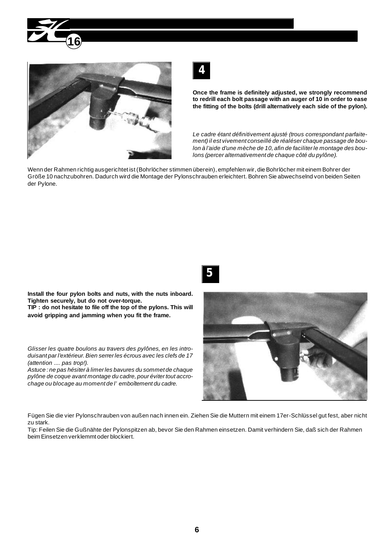





**Once the frame is definitely adjusted, we strongly recommend to redrill each bolt passage with an auger of 10 in order to ease the fitting of the bolts (drill alternatively each side of the pylon).**

*Le cadre étant définitivement ajusté (trous correspondant parfaitement) il est vivement conseillé de réaléser chaque passage de boulon à l'aide d'une mèche de 10, afin de faciliter le montage des boulons (percer alternativement de chaque côté du pylône).*

Wenn der Rahmen richtig ausgerichtet ist (Bohrlöcher stimmen überein), empfehlen wir, die Bohrlöcher mit einem Bohrer der Größe 10 nachzubohren. Dadurch wird die Montage der Pylonschrauben erleichtert. Bohren Sie abwechselnd von beiden Seiten der Pylone.



**Install the four pylon bolts and nuts, with the nuts inboard. Tighten securely, but do not over-torque.**

**TIP : do not hesitate to file off the top of the pylons. This will avoid gripping and jamming when you fit the frame.**

*Glisser les quatre boulons au travers des pylônes, en les introduisant par l'extérieur. Bien serrer les écrous avec les clefs de 17 (attention .... pas trop!).*

*Astuce : ne pas hésiter à limer les bavures du sommet de chaque pylône de coque avant montage du cadre, pour éviter tout accrochage ou blocage au moment de l'emboîtement du cadre.*



Fügen Sie die vier Pylonschrauben von außen nach innen ein. Ziehen Sie die Muttern mit einem 17er-Schlüssel gut fest, aber nicht zu stark.

Tip: Feilen Sie die Gußnähte der Pylonspitzen ab, bevor Sie den Rahmen einsetzen. Damit verhindern Sie, daß sich der Rahmen beim Einsetzen verklemmt oder blockiert.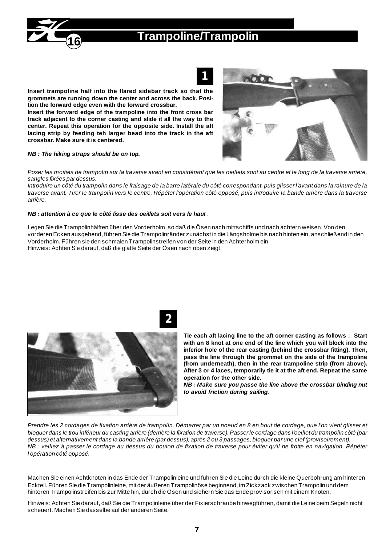

## **Trampoline/Trampolin**



**Insert trampoline half into the flared sidebar track so that the grommets are running down the center and across the back. Position the forward edge even with the forward crossbar.**

**Insert the forward edge of the trampoline into the front cross bar track adjacent to the corner casting and slide it all the way to the center. Repeat this operation for the opposite side. Install the aft lacing strip by feeding teh larger bead into the track in the aft crossbar. Make sure it is centered.**

#### *NB : The hiking straps should be on top.*

*Poser les moitiés de trampolin sur la traverse avant en considérant que les oeillets sont au centre et le long de la traverse arrière, sangles fixées par dessus.*

*Introduire un côté du trampolin dans le fraisage de la barre latérale du côté correspondant, puis glisser l'avant dans la rainure de la traverse avant. Tirer le trampolin vers le centre. Répéter l'opération côté opposé, puis introduire la bande arrière dans la traverse arrière.*

#### *NB : attention à ce que le côté lisse des oeillets soit vers le haut .*

Legen Sie die Trampolinhälften über den Vorderholm, so daß die Ösen nach mittschiffs und nach achtern weisen. Von den vorderen Ecken ausgehend, führen Sie die Trampolinränder zunächst in die Längsholme bis nach hinten ein, anschließend in den Vorderholm. Führen sie den schmalen Trampolinstreifen von der Seite in den Achterholm ein. Hinweis: Achten Sie darauf, daß die glatte Seite der Ösen nach oben zeigt.



**Tie each aft lacing line to the aft corner casting as follows : Start with an 8 knot at one end of the line which you will block into the inferior hole of the rear casting (behind the crossbar fitting). Then, pass the line through the grommet on the side of the trampoline (from underneath), then in the rear trampoline strip (from above). After 3 or 4 laces, temporarily tie it at the aft end. Repeat the same operation for the other side.**

*NB : Make sure you passe the line above the crossbar binding nut to avoid friction during sailing.*

*Prendre les 2 cordages de fixation arrière de trampolin. Démarrer par un noeud en 8 en bout de cordage, que l'on vient glisser et bloquer dans le trou inférieur du casting arrière (derrière la fixation de traverse). Passer le cordage dans l'oeillet du trampolin côté (par dessus) et alternativement dans la bande arrière (par dessus), après 2 ou 3 passages, bloquer par une clef (provisoirement). NB : veillez à passer le cordage au dessus du boulon de fixation de traverse pour éviter qu'il ne frotte en navigation. Répéter l'opération côté opposé.*

Machen Sie einen Achtknoten in das Ende der Trampolinleine und führen Sie die Leine durch die kleine Querbohrung am hinteren Eckteil. Führen Sie die Trampolinleine, mit der äußeren Trampolinöse beginnend, im Zickzack zwischen Trampolin und dem hinteren Trampolinstreifen bis zur Mitte hin, durch die Ösen und sichern Sie das Ende provisorisch mit einem Knoten.

Hinweis: Achten Sie darauf, daß Sie die Trampolinleine über der Fixierschraube hinwegführen, damit die Leine beim Segeln nicht scheuert. Machen Sie dasselbe auf der anderen Seite.



**2**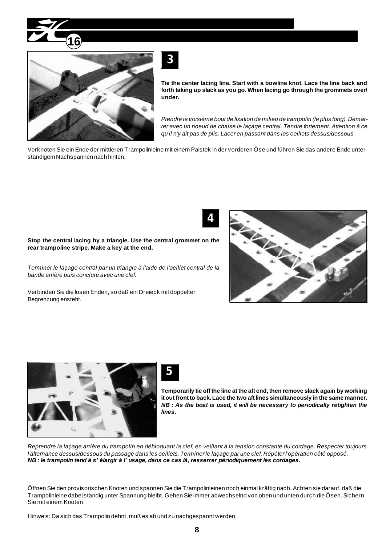



**Tie the center lacing line. Start with a bowline knot. Lace the line back and forth taking up slack as you go. When lacing go through the grommets over/ under.**

*Prendre le troisième bout de fixation de milieu de trampolin (le plus long). Démarrer avec un noeud de chaise le laçage central. Tendre fortement. Attention à ce qu'il n'y ait pas de plis. Lacer en passant dans les oeillets dessus/dessous.*

Verknoten Sie ein Ende der mittleren Trampolinleine mit einem Palstek in der vorderen Öse und führen Sie das andere Ende unter ständigem Nachspannen nach hinten.

**4**

#### **Stop the central lacing by a triangle. Use the central grommet on the rear trampoline stripe. Make a key at the end.**

*Terminer le laçage central par un triangle à l'aide de l'oeillet central de la bande arrière puis conclure avec une clef.*

Verbinden Sie die losen Enden, so daß ein Dreieck mit doppelter Begrenzung ensteht.







**Temporarily tie off the line at the aft end, then remove slack again by working it out front to back. Lace the two aft lines simultaneously in the same manner.** *NB : As the boat is used, it will be necessary to periodically retighten the lines.*

*Reprendre la laçage arrière du trampolin en débloquant la clef, en veillant à la tension constante du cordage. Respecter toujours l'alternance dessus/dessous du passage dans les oeillets. Terminer le laçage par une clef. Répéter l'opération côté opposé. NB : le trampolin tend à s'élargir à l'usage, dans ce cas là, resserrer périodiquement les cordages.*

Öffnen Sie den provisorischen Knoten und spannen Sie die Trampolinleinen noch einmal kräftig nach. Achten sie darauf, daß die Trampolinleine dabei ständig unter Spannung bleibt. Gehen Sie immer abwechselnd von oben und unten durch die Ösen. Sichern Sie mit einem Knoten.

Hinweis: Da sich das Trampolin dehnt, muß es ab und zu nachgespannt werden.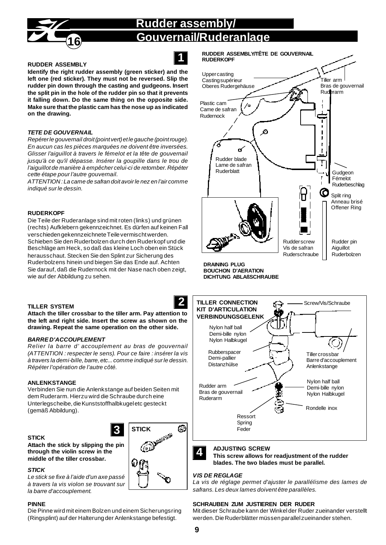## **Rudder assembly/ Gouvernail/Ruderanlage**





#### **RUDDER ASSEMBLY**

**Identify the right rudder assembly (green sticker) and the left one (red sticker). They must not be reversed. Slip the rudder pin down through the casting and gudgeons. Insert the split pin in the hole of the rudder pin so that it prevents it falling down. Do the same thing on the opposite side. Make sure that the plastic cam has the nose up as indicated on the drawing.**

#### *TETE DE GOUVERNAIL*

*Repérer le gouvernail droit (point vert) et le gauche (point rouge). En aucun cas les pièces marquées ne doivent être inversées. Glisser l'aiguillot à travers le fémelot et la tête de gouvernail jusqu'à ce qu'il dépasse. Insérer la goupille dans le trou de l'aiguillot de manière à empêcher celui-ci de retomber. Répéter cette étape pour l'autre gouvernail.*

*ATTENTION : La came de safran doit avoir le nez en l'air comme indiqué sur le dessin.*

#### **RUDERKOPF**

Die Teile der Ruderanlage sind mit roten (links) und grünen (rechts) Aufklebern gekennzeichnet. Es dürfen auf keinen Fall verschieden gekennzeichnete Teile vermischt werden. Schieben Sie den Ruderbolzen durch den Ruderkopf und die Beschläge am Heck, so daß das kleine Loch oben ein Stück herausschaut. Stecken Sie den Splint zur Sicherung des Ruderbolzens hinein und biegen Sie das Ende auf. Achten Sie darauf, daß die Rudernock mit der Nase nach oben zeigt, wie auf der Abbildung zu sehen.

#### **TILLER SYSTEM**

**Attach the tiller crossbar to the tiller arm. Pay attention to the left and right side. Insert the screw as shown on the drawing. Repeat the same operation on the other side.**

#### *BARRE D'ACCOUPLEMENT*

*Relier la barre d'accouplement au bras de gouvernail (ATTENTION : respecter le sens). Pour ce faire : insérer la vis à travers la demi-bille, barre, etc... comme indiqué sur le dessin. Répéter l'opération de l'autre côté.*

#### **ANLENKSTANGE**

Verbinden Sie nun die Anlenkstange auf beiden Seiten mit dem Ruderarm. Hierzu wird die Schraube durch eine Unterlegscheibe, die Kunststoffhalbkugel etc gesteckt (gemäß Abbildung).

**3 STICK**

#### **STICK**

**Attach the stick by slipping the pin through the violin screw in the middle of the tiller crossbar.**

#### *STICK*

*Le stick se fixe à l'aide d'un axe passé à travers la vis violon se trouvant sur la barre d'accouplement.*

#### **PINNE**

Die Pinne wird mit einem Bolzen und einem Sicherungsring (Ringsplint) auf der Halterung der Anlenkstange befestigt.





**RUDDER ASSEMBLY/TÊTE DE GOUVERNAIL**

**DRAINING PLUG**



## **blades. The two blades must be parallel.**

*VIS DE REGLAGE La vis de réglage permet d'ajuster le parallélisme des lames de safrans. Les deux lames doivent être parallèles.*

**This screw allows for readjustment of the rudder**

#### **SCHRAUBEN ZUM JUSTIEREN DER RUDER**

Mit dieser Schraube kann der Winkel der Ruder zueinander verstellt werden. Die Ruderblätter müssen parallel zueinander stehen.

۵Ď

**SOUTH AND A**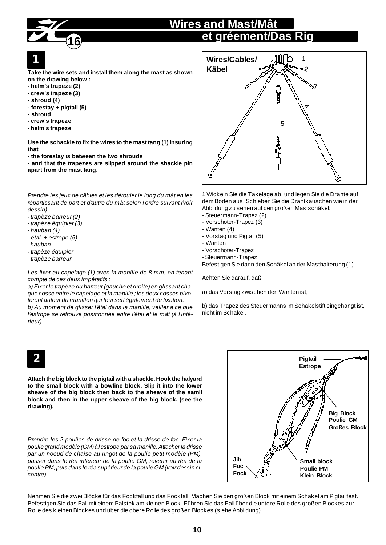## **Wires and Mast/Mât et gréement/Das Rig**

# **1**

**Take the wire sets and install them along the mast as shown on the drawing below :**

**- helm's trapeze (2)**

**16**

- **crew's trapeze (3)**
- **shroud (4)**
- **forestay + pigtail (5)**
- **shroud**
- **crew's trapeze**
- **helm's trapeze**

**Use the schackle to fix the wires to the mast tang (1) insuring that**

**- the forestay is between the two shrouds**

**- and that the trapezes are slipped around the shackle pin apart from the mast tang.**

*Prendre les jeux de câbles et les dérouler le long du mât en les répartissant de part et d'autre du mât selon l'ordre suivant (voir dessin) :*

- *trapèze barreur (2)*
- *trapèze équipier (3)*
- *hauban (4)*
- *étai + estrope (5)*
- *hauban*
- *trapèze équipier*
- *trapèze barreur*

*Les fixer au capelage (1) avec la manille de 8 mm, en tenant compte de ces deux impératifs :*

*a) Fixer le trapèze du barreur (gauche et droite) en glissant chaque cosse entre le capelage et la manille ; les deux cosses pivoteront autour du manillon qui leur sert également de fixation.*

*b) Au moment de glisser l'étai dans la manille, veiller à ce que l'estrope se retrouve positionnée entre l'étai et le mât (à l'intérieur).*

## **2**

**Attach the big block to the pigtail with a shackle. Hook the halyard to the small block with a bowline block. Slip it into the lower sheave of the big block then back to the sheave of the samll block and then in the upper sheave of the big block. (see the drawing).**

*Prendre les 2 poulies de drisse de foc et la drisse de foc. Fixer la poulie grand modèle (GM) à l'estrope par sa manille. Attacher la drisse par un noeud de chaise au ringot de la poulie petit modèle (PM), passer dans le réa inférieur de la poulie GM, revenir au réa de la poulie PM, puis dans le réa supérieur de la poulie GM (voir dessin cicontre).*



1 Wickeln Sie die Takelage ab, und legen Sie die Drähte auf dem Boden aus. Schieben Sie die Drahtkauschen wie in der Abbildung zu sehen auf den großen Mastschäkel:

- Steuermann-Trapez (2)
- Vorschoter-Trapez (3)
- Wanten (4)
- Vorstag und Pigtail (5)
- Wanten
- Vorschoter-Trapez
- Steuermann-Trapez

Befestigen Sie dann den Schäkel an der Masthalterung (1)

Achten Sie darauf, daß

a) das Vorstag zwischen den Wanten ist,

b) das Trapez des Steuermanns im Schäkelstift eingehängt ist, nicht im Schäkel.



Nehmen Sie die zwei Blöcke für das Fockfall und das Fockfall. Machen Sie den großen Block mit einem Schäkel am Pigtail fest. Befestigen Sie das Fall mit einem Palstek am kleinen Block. Führen Sie das Fall über die untere Rolle des großen Blockes zur Rolle des kleinen Blockes und über die obere Rolle des großen Blockes (siehe Abbildung).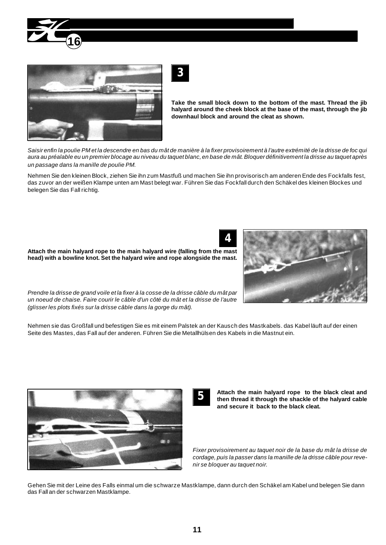



**Take the small block down to the bottom of the mast. Thread the jib halyard around the cheek block at the base of the mast, through the jib downhaul block and around the cleat as shown.**

*Saisir enfin la poulie PM et la descendre en bas du mât de manière à la fixer provisoirement à l'autre extrémité de la drisse de foc qui aura au préalable eu un premier blocage au niveau du taquet blanc, en base de mât. Bloquer définitivement la drisse au taquet après un passage dans la manille de poulie PM.*

Nehmen Sie den kleinen Block, ziehen Sie ihn zum Mastfuß und machen Sie ihn provisorisch am anderen Ende des Fockfalls fest, das zuvor an der weißen Klampe unten am Mast belegt war. Führen Sie das Fockfall durch den Schäkel des kleinen Blockes und belegen Sie das Fall richtig.

**4**

**Attach the main halyard rope to the main halyard wire (falling from the mast head) with a bowline knot. Set the halyard wire and rope alongside the mast.**

*Prendre la drisse de grand voile et la fixer à la cosse de la drisse câble du mât par un noeud de chaise. Faire courir le câble d'un côté du mât et la drisse de l'autre (glisser les plots fixés sur la drisse câble dans la gorge du mât).*

Nehmen sie das Großfall und befestigen Sie es mit einem Palstek an der Kausch des Mastkabels. das Kabel läuft auf der einen Seite des Mastes, das Fall auf der anderen. Führen Sie die Metallhülsen des Kabels in die Mastnut ein.



**Attach the main halyard rope to the black cleat and then thread it through the shackle of the halyard cable and secure it back to the black cleat.**

*Fixer provisoirement au taquet noir de la base du mât la drisse de cordage, puis la passer dans la manille de la drisse câble pour revenir se bloquer au taquet noir.*

Gehen Sie mit der Leine des Falls einmal um die schwarze Mastklampe, dann durch den Schäkel am Kabel und belegen Sie dann das Fall an der schwarzen Mastklampe.



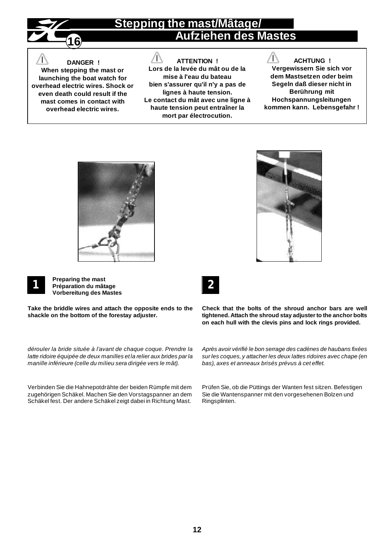

## **Stepping the mast/Mâtage/ Aufziehen des Mastes**

### **DANGER !**

**When stepping the mast or launching the boat watch for overhead electric wires. Shock or even death could result if the mast comes in contact with overhead electric wires.**

### **ATTENTION !**

 $\sqrt{}$ 

**Lors de la levée du mât ou de la mise à l'eau du bateau bien s'assurer qu'il n'y a pas de lignes à haute tension. Le contact du mât avec une ligne à haute tension peut entraîner la mort par électrocution.**

ТN **ACHTUNG ! Vergewissern Sie sich vor dem Mastsetzen oder beim Segeln daß dieser nicht in Berührung mit Hochspannungsleitungen kommen kann. Lebensgefahr !**







**Preparing the mast Préparation du mâtage Vorbereitung des Mastes**

**Take the briddle wires and attach the opposite ends to the shackle on the bottom of the forestay adjuster.**

*dérouler la bride située à l'avant de chaque coque. Prendre la latte ridoire équipée de deux manilles et la relier aux brides par la manille inférieure (celle du milieu sera dirigée vers le mât).*

Verbinden Sie die Hahnepotdrähte der beiden Rümpfe mit dem zugehörigen Schäkel. Machen Sie den Vorstagspanner an dem Schäkel fest. Der andere Schäkel zeigt dabei in Richtung Mast.



**Check that the bolts of the shroud anchor bars are well tightened. Attach the shroud stay adjuster to the anchor bolts on each hull with the clevis pins and lock rings provided.**

*Après avoir vérifié le bon serrage des cadènes de haubans fixées sur les coques, y attacher les deux lattes ridoires avec chape (en bas), axes et anneaux brisés prévus à cet effet.*

Prüfen Sie, ob die Püttings der Wanten fest sitzen. Befestigen Sie die Wantenspanner mit den vorgesehenen Bolzen und Ringsplinten.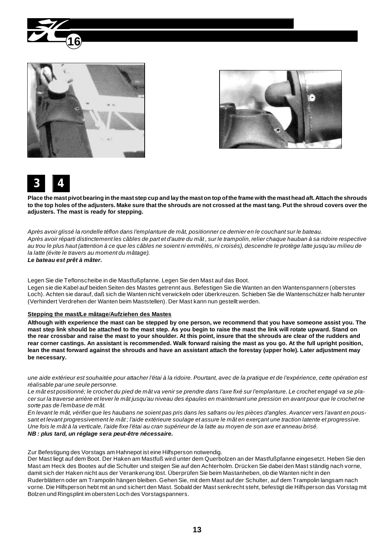







**Place the mast pivot bearing in the mast step cup and lay the mast on top of the frame with the mast head aft. Attach the shrouds to the top holes of the adjusters. Make sure that the shrouds are not crossed at the mast tang. Put the shroud covers over the adjusters. The mast is ready for stepping.**

*Après avoir glissé la rondelle téflon dans l'emplanture de mât, positionner ce dernier en le couchant sur le bateau. Après avoir réparti distinctement les câbles de part et d'autre du mât , sur le trampolin, relier chaque hauban à sa ridoire respective au trou le plus haut (attention à ce que les câbles ne soient ni emmêlés, ni croisés), descendre le protège latte jusqu'au milieu de la latte (évite le travers au moment du mâtage).*

*Le bateau est prêt à mâter.*

Legen Sie die Teflonscheibe in die Mastfußpfanne. Legen Sie den Mast auf das Boot.

Legen sie die Kabel auf beiden Seiten des Mastes getrennt aus. Befestigen Sie die Wanten an den Wantenspannern (oberstes Loch). Achten sie darauf, daß sich die Wanten nicht verwickeln oder überkreuzen. Schieben Sie die Wantenschützer halb herunter (Verhindert Verdrehen der Wanten beim Maststellen). Der Mast kann nun gestellt werden.

#### **Stepping the mast/Le mâtage**/**Aufziehen des Mastes**

**Although with experience the mast can be stepped by one person, we recommend that you have someone assist you. The mast step link should be attached to the mast step. As you begin to raise the mast the link will rotate upward. Stand on the rear crossbar and raise the mast to your shoulder. At this point, insure that the shrouds are clear of the rudders and rear corner castings. An assistant is recommended. Walk forward raising the mast as you go. At the full upright position, lean the mast forward against the shrouds and have an assistant attach the forestay (upper hole). Later adjustment may be necessary.**

*une aide extérieur est souhaitée pour attacher l'étai à la ridoire. Pourtant, avec de la pratique et de l'expérience, cette opération est réalisable par une seule personne.*

*Le mât est positionné; le crochet du pied de mât va venir se prendre dans l'axe fixé sur l'emplanture. Le crochet engagé va se placer sur la traverse arrière et lever le mât jusqu'au niveau des épaules en maintenant une pression en avant pour que le crochet ne sorte pas de l'embase de mât.*

*En levant le mât, vérifier que les haubans ne soient pas pris dans les safrans ou les pièces d'angles. Avancer vers l'avant en poussant et levant progressivement le mât ; l'aide extérieure soulage et assure le mât en exerçant une traction latente et progressive. Une fois le mât à la verticale, l'aide fixe l'étai au cran supérieur de la latte au moyen de son axe et anneau brisé. NB : plus tard, un réglage sera peut-être nécessaire.*

Zur Befestigung des Vorstags am Hahnepot ist eine Hilfsperson notwendig.

Der Mast liegt auf dem Boot. Der Haken am Mastfuß wird unter dem Querbolzen an der Mastfußpfanne eingesetzt. Heben Sie den Mast am Heck des Bootes auf die Schulter und steigen Sie auf den Achterholm. Drücken Sie dabei den Mast ständig nach vorne, damit sich der Haken nicht aus der Verankerung löst. Überprüfen Sie beim Mastanheben, ob die Wanten nicht in den Ruderblättern oder am Trampolin hängen bleiben. Gehen Sie, mit dem Mast auf der Schulter, auf dem Trampolin langsam nach vorne. Die Hilfsperson hebt mit an und sichert den Mast. Sobald der Mast senkrecht steht, befestigt die Hilfsperson das Vorstag mit Bolzen und Ringsplint im obersten Loch des Vorstagspanners.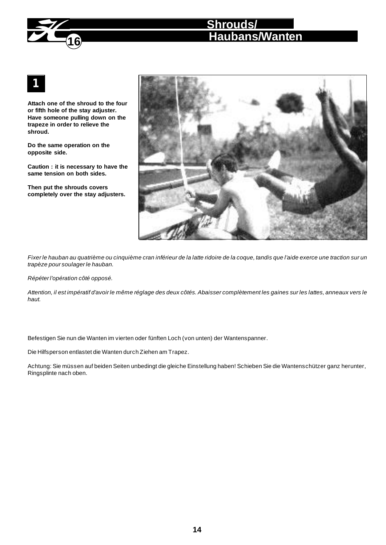

**Attach one of the shroud to the four or fifth hole of the stay adjuster. Have someone pulling down on the trapeze in order to relieve the shroud.**

**16**

**Do the same operation on the opposite side.**

**Caution : it is necessary to have the same tension on both sides.**

**Then put the shrouds covers completely over the stay adjusters.**



*Fixer le hauban au quatrième ou cinquième cran inférieur de la latte ridoire de la coque, tandis que l'aide exerce une traction sur un trapèze pour soulager le hauban.*

*Répéter l'opération côté opposé.*

*Attention, il est impératif d'avoir le même réglage des deux côtés. Abaisser complètement les gaines sur les lattes, anneaux vers le haut.*

Befestigen Sie nun die Wanten im vierten oder fünften Loch (von unten) der Wantenspanner.

Die Hilfsperson entlastet die Wanten durch Ziehen am Trapez.

Achtung: Sie müssen auf beiden Seiten unbedingt die gleiche Einstellung haben! Schieben Sie die Wantenschützer ganz herunter, Ringsplinte nach oben.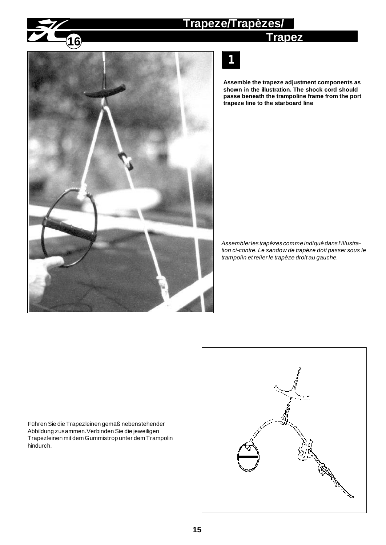### **Trapeze/Trapèzes/**

**Trapez**



**1**

**Assemble the trapeze adjustment components as shown in the illustration. The shock cord should passe beneath the trampoline frame from the port trapeze line to the starboard line**

*Assembler les trapèzes comme indiqué dans l'illustration ci-contre. Le sandow de trapèze doit passer sous le trampolin et relier le trapèze droit au gauche.*

Führen Sie die Trapezleinen gemäß nebenstehender Abbildung zusammen.Verbinden Sie die jeweiligen Trapezleinen mit dem Gummistrop unter dem Trampolin hindurch.

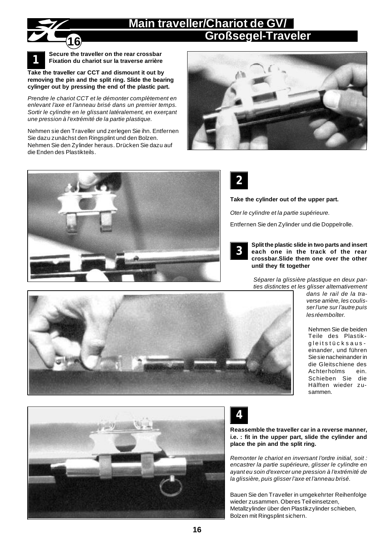## **Main traveller/Chariot de GV/ Großsegel-Traveler**



**Take the traveller car CCT and dismount it out by removing the pin and the split ring. Slide the bearing cylinger out by pressing the end of the plastic part.**

*Prendre le chariot CCT et le démonter complètement en enlevant l'axe et l'anneau brisé dans un premier temps. Sortir le cylindre en le glissant latéralement, en exerçant une pression à l'extrémité de la partie plastique.*

Nehmen sie den Traveller und zerlegen Sie ihn. Entfernen Sie dazu zunächst den Ringsplint und den Bolzen. Nehmen Sie den Zylinder heraus. Drücken Sie dazu auf die Enden des Plastikteils.







**Take the cylinder out of the upper part.**

*Oter le cylindre et la partie supérieure.*

Entfernen Sie den Zylinder und die Doppelrolle.



**Split the plastic slide in two parts and insert each one in the track of the rear crossbar.Slide them one over the other until they fit together**

*Séparer la glissière plastique en deux parties distinctes et les glisser alternativement*

*dans le rail de la traverse arrière, les coulisser l'une sur l'autre puis les réemboîter.*

Nehmen Sie die beiden Teile des Plastikgleitstücksauseinander, und führen Sie sie nacheinander in die Gleitschiene des<br>Achterholms ein. Achterholms Schieben Sie die Hälften wieder zusammen.







**Reassemble the traveller car in a reverse manner, i.e. : fit in the upper part, slide the cylinder and place the pin and the split ring.**

*Remonter le chariot en inversant l'ordre initial, soit : encastrer la partie supérieure, glisser le cylindre en ayant eu soin d'exercer une pression à l'extrémité de la glissière, puis glisser l'axe et l'anneau brisé.*

Bauen Sie den Traveller in umgekehrter Reihenfolge wieder zusammen. Oberes Teil einsetzen, Metallzylinder über den Plastikzylinder schieben, Bolzen mit Ringsplint sichern.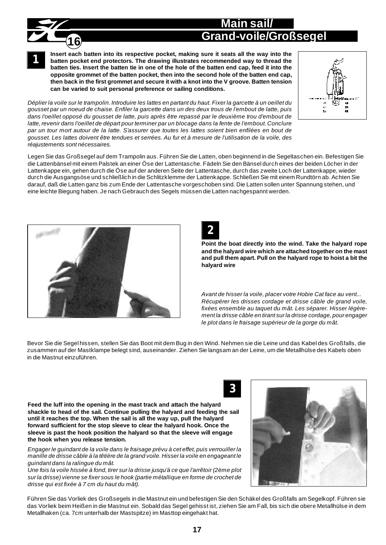## **Grand-voile/Großsegel Main sail/**

**1**

**16**

**Insert each batten into its respective pocket, making sure it seats all the way into the batten pocket end protectors. The drawing illustrates recommended way to thread the batten ties. Insert the batten tie in one of the hole of the batten end cap, feed it into the opposite grommet of the batten pocket, then into the second hole of the batten end cap, then back in the first grommet and secure it with a knot into the V groove. Batten tension can be varied to suit personal preference or sailing conditions.**



*Déplier la voile sur le trampolin. Introduire les lattes en partant du haut. Fixer la garcette à un oeillet du gousset par un noeud de chaise. Enfiler la garcette dans un des deux trous de l'embout de latte, puis dans l'oeillet opposé du gousset de latte, puis après être repassé par le deuxième trou d'embout de latte, revenir dans l'oeillet de départ pour terminer par un blocage dans la fente de l'embout. Conclure par un tour mort autour de la latte. S'assurer que toutes les lattes soient bien enfilées en bout de gousset. Les lattes doivent être tendues et serrées. Au fur et à mesure de l'utilisation de la voile, des réajustements sont nécessaires.*

Legen Sie das Großsegel auf dem Trampolin aus. Führen Sie die Latten, oben beginnend in die Segeltaschen ein. Befestigen Sie die Lattenbänsel mit einem Palstek an einer Öse der Lattentasche. Fädeln Sie den Bänsel durch eines der beiden Löcher in der Lattenkappe ein, gehen durch die Öse auf der anderen Seite der Lattentasche, durch das zweite Loch der Lattenkappe, wieder durch die Ausgangsöse und schließlich in die Schlitzklemme der Lattenkappe. Schließen Sie mit einem Rundtörn ab. Achten Sie darauf, daß die Latten ganz bis zum Ende der Lattentasche vorgeschoben sind. Die Latten sollen unter Spannung stehen, und eine leichte Biegung haben. Je nach Gebrauch des Segels müssen die Latten nachgespannt werden.



**2**

**Point the boat directly into the wind. Take the halyard rope and the halyard wire which are attached together on the mast and pull them apart. Pull on the halyard rope to hoist a bit the halyard wire**

*Avant de hisser la voile, placer votre Hobie Cat face au vent... Récupérer les drisses cordage et drisse câble de grand voile, fixées ensemble au taquet du mât. Les séparer. Hisser légèrement la drisse câble en tirant sur la drisse cordage, pour engager le plot dans le fraisage supérieur de la gorge du mât.*

Bevor Sie die Segel hissen, stellen Sie das Boot mit dem Bug in den Wind. Nehmen sie die Leine und das Kabel des Großfalls, die zusammen auf der Mastklampe belegt sind, auseinander. Ziehen Sie langsam an der Leine, um die Metallhülse des Kabels oben in die Mastnut einzuführen.

**3**

**Feed the luff into the opening in the mast track and attach the halyard shackle to head of the sail. Continue pulling the halyard and feeding the sail until it reaches the top. When the sail is all the way up, pull the halyard forward sufficient for the stop sleeve to clear the halyard hook. Once the sleeve is past the hook position the halyard so that the sleeve will engage the hook when you release tension.**

*Engager le guindant de la voile dans le fraisage prévu à cet effet, puis verrouiller la manille de drisse câble à la têtière de la grand voile. Hisser la voile en engageant le guindant dans la ralingue du mât.*

*Une fois la voile hissée à fond, tirer sur la drisse jusqu'à ce que l'arrêtoir (2ème plot sur la drisse) vienne se fixer sous le hook (partie métallique en forme de crochet de drisse qui est fixée à 7 cm du haut du mât).*



Führen Sie das Vorliek des Großsegels in die Mastnut ein und befestigen Sie den Schäkel des Großfalls am Segelkopf. Führen sie das Vorliek beim Heißen in die Mastnut ein. Sobald das Segel gehisst ist, ziehen Sie am Fall, bis sich die obere Metallhülse in dem Metallhaken (ca. 7cm unterhalb der Mastspitze) im Masttop eingehakt hat.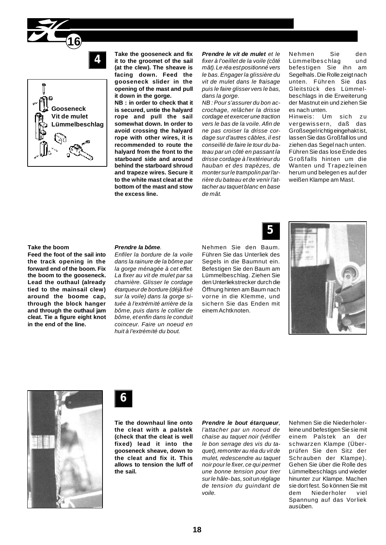



**Take the gooseneck and fix it to the groomet of the sail (at the clew). The sheave is facing down. Feed the gooseneck slider in the opening of the mast and pull it down in the gorge.**

**NB : in order to check that it is secured, untie the halyard rope and pull the sail somewhat down. In order to avoid crossing the halyard rope with other wires, it is recommended to route the halyard from the front to the starboard side and around behind the starboard shroud and trapeze wires. Secure it to the white mast cleat at the bottom of the mast and stow the excess line.**

*Prendre le vit de mulet et le fixer à l'oeillet de la voile (côté mât). Le réa est positionné vers le bas. Engager la glissière du vit de mulet dans le fraisage puis le faire glisser vers le bas, dans la gorge.*

*NB : Pour s'assurer du bon accrochage, relâcher la drisse cordage et exercer une traction vers le bas de la voile. Afin de ne pas croiser la drisse cordage sur d'autres câbles, il est conseillé de faire le tour du bateau par un côté en passant la drisse cordage à l'extérieur du hauban et des trapèzes, de monter sur le trampolin par l'arrière du bateau et de venir l'attacher au taquet blanc en base de mât.*

#### Nehmen Sie den Lümmelbeschlag und befestigen Sie ihn am Segelhals. Die Rolle zeigt nach unten. Führen Sie das Gleitstück des Lümmelbeschlags in die Erweiterung der Mastnut ein und ziehen Sie es nach unten.

Hinweis: Um sich zu vergewissern, daß das Großsegel richtig eingehakt ist, lassen Sie das Großfall los und ziehen das Segel nach unten. Führen Sie das lose Ende des Großfalls hinten um die Wanten und Trapezleinen herum und belegen es auf der weißen Klampe am Mast.

#### **Take the boom**

**Feed the foot of the sail into the track opening in the forward end of the boom. Fix the boom to the gooseneck. Lead the outhaul (already tied to the mainsail clew) around the boome cap, through the block hanger and through the outhaul jam cleat. Tie a figure eight knot in the end of the line.**

#### *Prendre la bôme.*

*Enfiler la bordure de la voile dans la rainure de la bôme par la gorge ménagée à cet effet. La fixer au vit de mulet par sa charnière. Glisser le cordage étarqueur de bordure (déjà fixé sur la voile) dans la gorge située à l'extrémité arrière de la bôme, puis dans le collier de bôme, et enfin dans le conduit coinceur. Faire un noeud en huit à l'extrémité du bout.*

Nehmen Sie den Baum. Führen Sie das Unterliek des Segels in die Baumnut ein. Befestigen Sie den Baum am Lümmelbeschlag. Ziehen Sie den Unterliekstrecker durch die Öffnung hinten am Baum nach vorne in die Klemme, und sichern Sie das Enden mit einem Achtknoten.

**5**







**Tie the downhaul line onto the cleat with a palstek (check that the cleat is well fixed) lead it into the gooseneck sheave, down to the cleat and fix it. This allows to tension the luff of the sail.**

#### *Prendre le bout étarqueur,*

*l'attacher par un noeud de chaise au taquet noir (vérifier le bon serrage des vis du taquet), remonter au réa du vit de mulet, redescendre au taquet noir pour le fixer, ce qui permet une bonne tension pour tirer sur le hâle- bas, soit un réglage de tension du guindant de voile.*

Nehmen Sie die Niederholerleine und befestigen Sie sie mit einem Palstek an der schwarzen Klampe (Überprüfen Sie den Sitz der Schrauben der Klampe). Gehen Sie über die Rolle des Lümmelbeschlags und wieder hinunter zur Klampe. Machen sie dort fest. So können Sie mit dem Niederholer viel Spannung auf das Vorliek ausüben.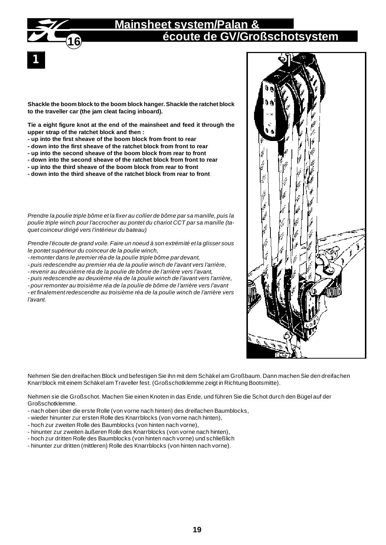

## **Mainsheet system/Palan & écoute de GV/Großschotsystem**

**Shackle the boom block to the boom block hanger. Shackle the ratchet block to the traveller car (the jam cleat facing inboard).**

**Tie a eight figure knot at the end of the mainsheet and feed it through the upper strap of the ratchet block and then :**

- **up into the first sheave of the boom block from front to rear**
- **down into the first sheave of the ratchet block from front to rear**
- **up into the second sheave of the boom block from rear to front**
- **down into the second sheave of the ratchet block from front to rear**
- **up into the third sheave of the boom block from rear to front**
- **down into the third sheave of the ratchet block from rear to front**

*Prendre la poulie triple bôme et la fixer au collier de bôme par sa manille, puis la poulie triple winch pour l'accrocher au pontet du chariot CCT par sa manille (taquet coinceur dirigé vers l'intérieur du bateau)*

*Prendre l'écoute de grand voile. Faire un noeud à son extrémité et la glisser sous le pontet supérieur du coinceur de la poulie winch,*

- *remonter dans le premier réa de la poulie triple bôme par devant,*
- *puis redescendre au premier réa de la poulie winch de l'avant vers l'arrière,*
- *revenir au deuxième réa de la poulie de bôme de l'arrière vers l'avant,*

*- puis redescendre au deuxième réa de la poulie winch de l'avant vers l'arrière,*

*- pour remonter au troisième réa de la poulie de bôme de l'arrière vers l'avant*

*- et finalement redescendre au troisième réa de la poulie winch de l'arrière vers l'avant.*



Nehmen Sie den dreifachen Block und befestigen Sie ihn mit dem Schäkel am Großbaum. Dann machen Sie den dreifachen Knarrblock mit einem Schäkel am Traveller fest. (Großschotklemme zeigt in Richtung Bootsmitte).

Nehmen sie die Großschot. Machen Sie einen Knoten in das Ende, und führen Sie die Schot durch den Bügel auf der Großschotklemme.

- nach oben über die erste Rolle (von vorne nach hinten) des dreifachen Baumblocks,
- wieder hinunter zur ersten Rolle des Knarrblocks (von vorne nach hinten),
- hoch zur zweiten Rolle des Baumblocks (von hinten nach vorne),
- hinunter zur zweiten äußeren Rolle des Knarrblocks (von vorne nach hinten),
- hoch zur dritten Rolle des Baumblocks (von hinten nach vorne) und schließlich
- hinunter zur dritten (mittleren) Rolle des Knarrblocks (von hinten nach vorne).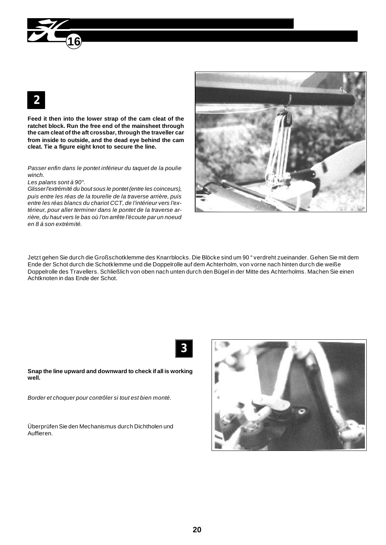

**Feed it then into the lower strap of the cam cleat of the ratchet block. Run the free end of the mainsheet through the cam cleat of the aft crossbar, through the traveller car from inside to outside, and the dead eye behind the cam cleat. Tie a figure eight knot to secure the line.**

#### *Passer enfin dans le pontet inférieur du taquet de la poulie winch.*

*Les palans sont à 90°.*

*Glisser l'extrémité du bout sous le pontet (entre les coinceurs), puis entre les réas de la tourelle de la traverse arrière, puis entre les réas blancs du chariot CCT, de l'intérieur vers l'extérieur, pour aller terminer dans le pontet de la traverse arrière, du haut vers le bas où l'on arrête l'écoute par un noeud en 8 à son extrémité.*



Jetzt gehen Sie durch die Großschotklemme des Knarrblocks. Die Blöcke sind um 90 ° verdreht zueinander. Gehen Sie mit dem Ende der Schot durch die Schotklemme und die Doppelrolle auf dem Achterholm, von vorne nach hinten durch die weiße Doppelrolle des Travellers. Schließlich von oben nach unten durch den Bügel in der Mitte des Achterholms. Machen Sie einen Achtknoten in das Ende der Schot.



**Snap the line upward and downward to check if all is working well.**

*Border et choquer pour contrôler si tout est bien monté.*

Überprüfen Sie den Mechanismus durch Dichtholen und Auffieren.

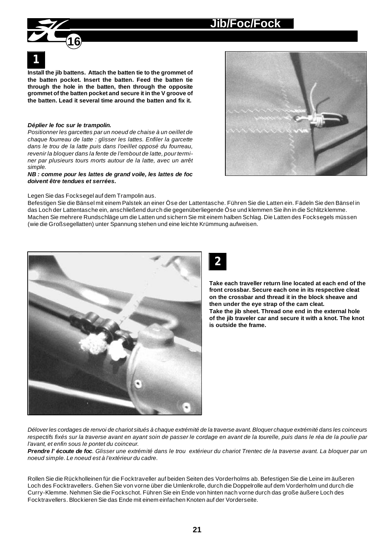## **Jib/Foc/Fock**



**Install the jib battens. Attach the batten tie to the grommet of the batten pocket. Insert the batten. Feed the batten tie through the hole in the batten, then through the opposite grommet of the batten pocket and secure it in the V groove of the batten. Lead it several time around the batten and fix it.**

#### *Déplier le foc sur le trampolin.*

*Positionner les garcettes par un noeud de chaise à un oeillet de chaque fourreau de latte : glisser les lattes. Enfiler la garcette dans le trou de la latte puis dans l'oeillet opposé du fourreau, revenir la bloquer dans la fente de l'embout de latte, pour terminer par plusieurs tours morts autour de la latte, avec un arrêt simple.*

*NB : comme pour les lattes de grand voile, les lattes de foc doivent être tendues et serrées.*

Legen Sie das Focksegel auf dem Trampolin aus.

Befestigen Sie die Bänsel mit einem Palstek an einer Öse der Lattentasche. Führen Sie die Latten ein. Fädeln Sie den Bänsel in das Loch der Lattentasche ein, anschließend durch die gegenüberliegende Öse und klemmen Sie ihn in die Schlitzklemme. Machen Sie mehrere Rundschläge um die Latten und sichern Sie mit einem halben Schlag. Die Latten des Focksegels müssen (wie die Großsegellatten) unter Spannung stehen und eine leichte Krümmung aufweisen.



**2**

**Take each traveller return line located at each end of the front crossbar. Secure each one in its respective cleat on the crossbar and thread it in the block sheave and then under the eye strap of the cam cleat. Take the jib sheet. Thread one end in the external hole of the jib traveler car and secure it with a knot. The knot is outside the frame.**

*Délover les cordages de renvoi de chariot situés à chaque extrémité de la traverse avant. Bloquer chaque extrémité dans les coinceurs respectifs fixés sur la traverse avant en ayant soin de passer le cordage en avant de la tourelle, puis dans le réa de la poulie par l'avant, et enfin sous le pontet du coinceur.*

*Prendre l'écoute de foc. Glisser une extrémité dans le trou extérieur du chariot Trentec de la traverse avant. La bloquer par un noeud simple. Le noeud est à l'extérieur du cadre.*

Rollen Sie die Rückholleinen für die Focktraveller auf beiden Seiten des Vorderholms ab. Befestigen Sie die Leine im äußeren Loch des Focktravellers. Gehen Sie von vorne über die Umlenkrolle, durch die Doppelrolle auf dem Vorderholm und durch die Curry-Klemme. Nehmen Sie die Fockschot. Führen Sie ein Ende von hinten nach vorne durch das große äußere Loch des Focktravellers. Blockieren Sie das Ende mit einem einfachen Knoten auf der Vorderseite.

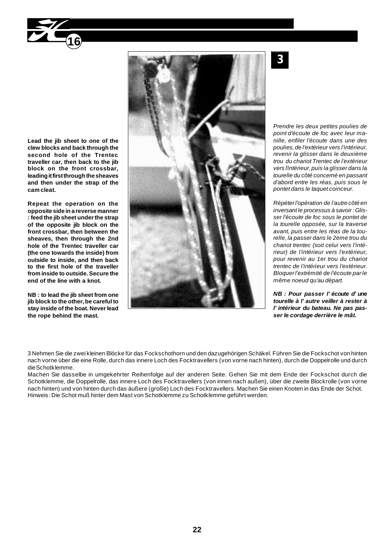

**Lead the jib sheet to one of the clew blocks and back through the second hole of the Trentec traveller car, then back to the jib block on the front crossbar, leading it first through the sheaves and then under the strap of the cam cleat.**

**Repeat the operation on the opposite side in a reverse manner : feed the jib sheet under the strap of the opposite jib block on the front crossbar, then between the sheaves, then through the 2nd hole of the Trentec traveller car (the one towards the inside) from outside to inside, and then back to the first hole of the traveller from inside to outside. Secure the end of the line with a knot.**

**NB : to lead the jib sheet from one jib block to the other, be careful to stay inside of the boat. Never lead the rope behind the mast.**



**3**

*Prendre les deux petites poulies de point d'écoute de foc avec leur manille, enfiler l'écoute dans une des poulies, de l'extérieur vers l'intérieur, revenir la glisser dans le deuxième trou du chariot Trentec de l'extérieur vers l'intérieur, puis la glisser dans la tourelle du côté concerné en passant d'abord entre les réas, puis sous le pontet dans le taquet coinceur.*

*Répéter l'opération de l'autre côté en inversant le processus à savoir : Glisser l'écoute de foc sous le pontet de la tourelle opposée, sur la traverse avant, puis entre les réas de la tourelle, la passer dans le 2ème trou du chariot trentec (soit celui vers l'intérieur) de l'intérieur vers l'extérieur, pour revenir au 1er trou du chariot trentec de l'intérieur vers l'extérieur. Bloquer l'extrémité de l'écoute par le même noeud qu'au départ.*

*NB : Pour passer l'écoute d'une tourelle à l'autre veiller à rester à l'intérieur du bateau. Ne pas passer le cordage derrière le mât.*

3 Nehmen Sie die zwei kleinen Blöcke für das Fockschothorn und den dazugehörigen Schäkel. Führen Sie die Fockschot von hinten nach vorne über die eine Rolle, durch das innere Loch des Focktravellers (von vorne nach hinten), durch die Doppelrolle und durch die Schotklemme.

Machen Sie dasselbe in umgekehrter Reihenfolge auf der anderen Seite. Gehen Sie mit dem Ende der Fockschot durch die Schotklemme, die Doppelrolle, das innere Loch des Focktravellers (von innen nach außen), über die zweite Blockrolle (von vorne nach hinten) und von hinten durch das äußere (große) Loch des Focktravellers. Machen Sie einen Knoten in das Ende der Schot. Hinweis: Die Schot muß hinter dem Mast von Schotklemme zu Schotklemme geführt werden.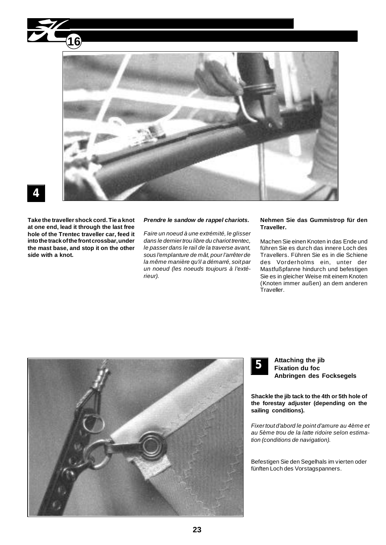



**Take the traveller shock cord. Tie a knot at one end, lead it through the last free hole of the Trentec traveller car, feed it into the track of the front crossbar, under the mast base, and stop it on the other side with a knot.**

#### *Prendre le sandow de rappel chariots.*

*Faire un noeud à une extrémité, le glisser dans le dernier trou libre du chariot trentec, le passer dans le rail de la traverse avant, sous l'emplanture de mât, pour l'arrêter de la même manière qu'il a démarré, soit par un noeud (les noeuds toujours à l'extérieur).*

#### **Nehmen Sie das Gummistrop für den Traveller.**

Machen Sie einen Knoten in das Ende und führen Sie es durch das innere Loch des Travellers. Führen Sie es in die Schiene des Vorderholms ein, unter der Mastfußpfanne hindurch und befestigen Sie es in gleicher Weise mit einem Knoten (Knoten immer außen) an dem anderen Traveller.





**Attaching the jib Fixation du foc Anbringen des Focksegels**

**Shackle the jib tack to the 4th or 5th hole of the forestay adjuster (depending on the sailing conditions).**

*Fixer tout d'abord le point d'amure au 4ème et au 5ème trou de la latte ridoire selon estimation (conditions de navigation).*

Befestigen Sie den Segelhals im vierten oder fünften Loch des Vorstagspanners.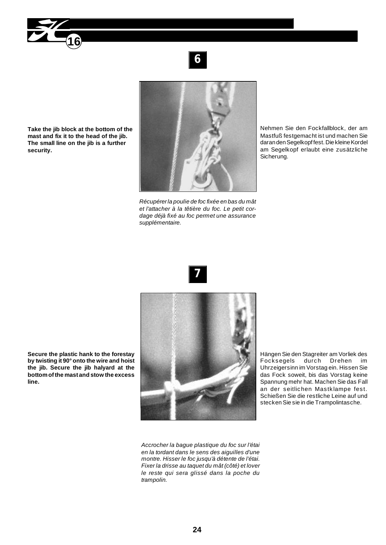

**Take the jib block at the bottom of the mast and fix it to the head of the jib. The small line on the jib is a further security.**



*Récupérer la poulie de foc fixée en bas du mât et l'attacher à la têtière du foc. Le petit cordage déjà fixé au foc permet une assurance supplémentaire.*

Nehmen Sie den Fockfallblock, der am Mastfuß festgemacht ist und machen Sie daran den Segelkopf fest. Die kleine Kordel am Segelkopf erlaubt eine zusätzliche Sicherung.





*Accrocher la bague plastique du foc sur l'étai en la tordant dans le sens des aiguilles d'une montre. Hisser le foc jusqu'à détente de l'étai. Fixer la drisse au taquet du mât (côté) et lover le reste qui sera glissé dans la poche du trampolin.*

Hängen Sie den Stagreiter am Vorliek des Focksegels durch Drehen im Uhrzeigersinn im Vorstag ein. Hissen Sie das Fock soweit, bis das Vorstag keine Spannung mehr hat. Machen Sie das Fall an der seitlichen Mastklampe fest. Schießen Sie die restliche Leine auf und stecken Sie sie in die Trampolintasche.

**Secure the plastic hank to the forestay by twisting it 90° onto the wire and hoist the jib. Secure the jib halyard at the bottom of the mast and stow the excess line.**